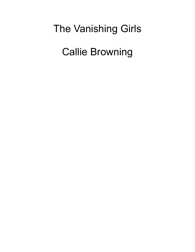# The Vanishing Girls

Callie Browning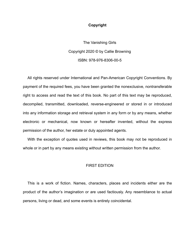#### **Copyright**

The Vanishing Girls Copyright 2020 © by Callie Browning ISBN: 978-976-8306-00-5

All rights reserved under International and Pan-American Copyright Conventions. By payment of the required fees, you have been granted the nonexclusive, nontransferable right to access and read the text of this book. No part of this text may be reproduced, decompiled, transmitted, downloaded, reverse-engineered or stored in or introduced into any information storage and retrieval system in any form or by any means, whether electronic or mechanical, now known or hereafter invented, without the express permission of the author, her estate or duly appointed agents.

With the exception of quotes used in reviews, this book may not be reproduced in whole or in part by any means existing without written permission from the author.

## FIRST EDITION

This is a work of fiction. Names, characters, places and incidents either are the product of the author's imagination or are used factiously. Any resemblance to actual persons, living or dead, and some events is entirely coincidental.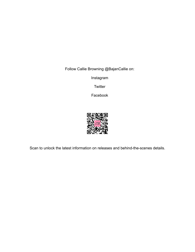Follow Callie Browning @BajanCallie on:

Instagram

**Twitter** 

Facebook



Scan to unlock the latest information on releases and behind-the-scenes details.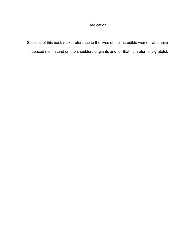# Dedication

Sections of this book make reference to the lives of the incredible women who have influenced me. I stand on the shoulders of giants and for that I am eternally grateful.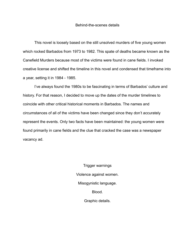#### Behind-the-scenes details

This novel is loosely based on the still unsolved murders of five young women which rocked Barbados from 1973 to 1982. This spate of deaths became known as the Canefield Murders because most of the victims were found in cane fields. I invoked creative license and shifted the timeline in this novel and condensed that timeframe into a year, setting it in 1984 - 1985.

I've always found the 1980s to be fascinating in terms of Barbados' culture and history. For that reason, I decided to move up the dates of the murder timelines to coincide with other critical historical moments in Barbados. The names and circumstances of all of the victims have been changed since they don't accurately represent the events. Only two facts have been maintained: the young women were found primarily in cane fields and the clue that cracked the case was a newspaper vacancy ad.

> Trigger warnings Violence against women. Misogynistic language. Blood. Graphic details.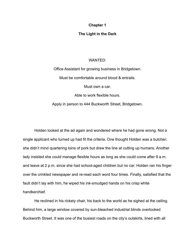## **Chapter 1**

## **The Light in the Dark**

#### WANTED:

Office Assistant for growing business in Bridgetown. Must be comfortable around blood & entrails. Must own a car.

Able to work flexible hours.

Apply in person to 444 Buckworth Street, Bridgetown.

Holden looked at the ad again and wondered where he had gone wrong. Not a single applicant who turned up had fit the criteria. One thought Holden was a butcher; she didn't mind quartering loins of pork but drew the line at cutting up humans. Another lady insisted she could manage flexible hours as long as she could come after 9 a.m. and leave at 2 p.m. since she had school-aged children but no car. Holden ran his finger over the crinkled newspaper and re-read each word four times. Finally, satisfied that the fault didn't lay with him, he wiped his ink-smudged hands on his crisp white handkerchief.

He reclined in his rickety chair, his back to the world as he sighed at the ceiling. Behind him, a large window covered by sun-bleached industrial blinds overlooked Buckworth Street. It was one of the busiest roads on the city's outskirts, lined with all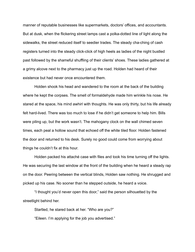manner of reputable businesses like supermarkets, doctors' offices, and accountants. But at dusk, when the flickering street lamps cast a polka-dotted line of light along the sidewalks, the street reduced itself to seedier trades. The steady cha-ching of cash registers turned into the steady click-click of high heels as ladies of the night bustled past followed by the shameful shuffling of their clients' shoes. These ladies gathered at a grimy alcove next to the pharmacy just up the road. Holden had heard of their existence but had never once encountered them.

Holden shook his head and wandered to the room at the back of the building where he kept the corpses. The smell of formaldehyde made him wrinkle his nose. He stared at the space, his mind awhirl with thoughts. He was only thirty, but his life already felt hard-lived. There was too much to lose if he didn't get someone to help him. Bills were piling up, but the work wasn't. The mahogany clock on the wall chimed seven times, each peal a hollow sound that echoed off the white tiled floor. Holden fastened the door and returned to his desk. Surely no good could come from worrying about things he couldn't fix at this hour.

Holden packed his attaché case with files and took his time turning off the lights. He was securing the last window at the front of the building when he heard a steady rap on the door. Peering between the vertical blinds, Holden saw nothing. He shrugged and picked up his case. No sooner than he stepped outside, he heard a voice.

"I thought you'd never open this door," said the person silhouetted by the streetlight behind her.

Startled, he stared back at her. "Who are you?" "Eileen. I'm applying for the job you advertised."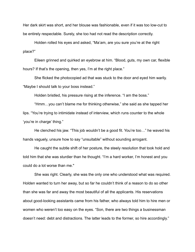Her dark skirt was short, and her blouse was fashionable, even if it was too low-cut to be entirely respectable. Surely, she too had not read the description correctly.

Holden rolled his eyes and asked, "Ma'am, are you sure you're at the right place?"

Eileen grinned and quirked an eyebrow at him. "Blood, guts, my own car, flexible hours? If that's the opening, then yes, I'm at the right place."

She flicked the photocopied ad that was stuck to the door and eyed him warily. "Maybe I should talk to your boss instead."

Holden bristled, his pressure rising at the inference. "I am the boss."

"Hmm…you can't blame me for thinking otherwise," she said as she tapped her lips. "You're trying to intimidate instead of interview, which runs counter to the whole 'you're in charge' thing."

He clenched his jaw. "This job wouldn't be a good fit. You're too…" he waved his hands vaguely, unsure how to say "unsuitable" without sounding arrogant.

He caught the subtle shift of her posture, the steely resolution that took hold and told him that she was sturdier than he thought. "I'm a hard worker, I'm honest and you could do a lot worse than me."

She was right. Clearly, she was the only one who understood what was required. Holden wanted to turn her away, but so far he couldn't think of a reason to do so other than she was far and away the most beautiful of all the applicants. His reservations about good-looking assistants came from his father, who always told him to hire men or women who weren't too easy on the eyes. "Son, there are two things a businessman doesn't need: debt and distractions. The latter leads to the former, so hire accordingly."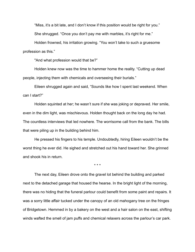"Miss, it's a bit late, and I don't know if this position would be right for you."

She shrugged. "Once you don't pay me with marbles, it's right for me."

Holden frowned, his irritation growing. "You won't take to such a gruesome profession as this."

"And what profession would that be?"

Holden knew now was the time to hammer home the reality. "Cutting up dead people, injecting them with chemicals and overseeing their burials."

Eileen shrugged again and said, "Sounds like how I spent last weekend. When can I start?"

Holden squinted at her; he wasn't sure if she was joking or depraved. Her smile, even in the dim light, was mischievous. Holden thought back on the long day he had. The countless interviews that led nowhere. The worrisome call from the bank. The bills that were piling up in the building behind him.

He pressed his fingers to his temple. Undoubtedly, hiring Eileen wouldn't be the worst thing he ever did. He sighed and stretched out his hand toward her. She grinned and shook his in return.

\* \* \*

The next day, Eileen drove onto the gravel lot behind the building and parked next to the detached garage that housed the hearse. In the bright light of the morning, there was no hiding that the funeral parlour could benefit from some paint and repairs. It was a sorry little affair tucked under the canopy of an old mahogany tree on the fringes of Bridgetown. Hemmed in by a bakery on the west and a hair salon on the east, shifting winds wafted the smell of jam puffs and chemical relaxers across the parlour's car park.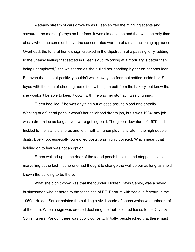A steady stream of cars drove by as Eileen sniffed the mingling scents and savoured the morning's rays on her face. It was almost June and that was the only time of day when the sun didn't have the concentrated warmth of a malfunctioning appliance. Overhead, the funeral home's sign creaked in the slipstream of a passing lorry, adding to the uneasy feeling that settled in Eileen's gut. "Working at a mortuary is better than being unemployed," she whispered as she pulled her handbag higher on her shoulder. But even that stab at positivity couldn't whisk away the fear that settled inside her. She toyed with the idea of cheering herself up with a jam puff from the bakery, but knew that she wouldn't be able to keep it down with the way her stomach was churning.

Eileen had lied. She was anything but at ease around blood and entrails. Working at a funeral parlour wasn't her childhood dream job, but it was 1984; any job was a dream job as long as you were getting paid. The global downturn of 1979 had trickled to the island's shores and left it with an unemployment rate in the high doubledigits. Every job, especially low-skilled posts, was highly coveted. Which meant that holding on to fear was not an option.

Eileen walked up to the door of the faded peach building and stepped inside, marvelling at the fact that no-one had thought to change the wall colour as long as she'd known the building to be there.

What she didn't know was that the founder, Holden Davis Senior, was a savvy businessman who adhered to the teachings of P.T. Barnum with zealous fervour. In the 1950s, Holden Senior painted the building a vivid shade of peach which was unheard of at the time. When a sign was erected declaring the fruit-coloured fiasco to be Davis & Son's Funeral Parlour, there was public curiosity. Initially, people joked that there must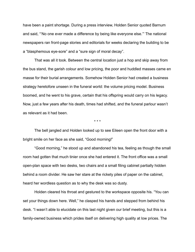have been a paint shortage. During a press interview, Holden Senior quoted Barnum and said, "'No one ever made a difference by being like everyone else.'" The national newspapers ran front-page stories and editorials for weeks declaring the building to be a "blasphemous eye-sore" and a "sure sign of moral decay".

That was all it took. Between the central location just a hop and skip away from the bus stand, the garish colour and low pricing, the poor and huddled masses came en masse for their burial arrangements. Somehow Holden Senior had created a business strategy heretofore unseen in the funeral world: the volume pricing model. Business boomed, and he went to his grave, certain that his offspring would carry on his legacy. Now, just a few years after his death, times had shifted, and the funeral parlour wasn't as relevant as it had been.

\* \* \*

The bell jangled and Holden looked up to see Eileen open the front door with a bright smile on her face as she said, "Good morning!"

"Good morning," he stood up and abandoned his tea, feeling as though the small room had gotten that much tinier once she had entered it. The front office was a small open-plan space with two desks, two chairs and a small filing cabinet partially hidden behind a room divider. He saw her stare at the rickety piles of paper on the cabinet, heard her wordless question as to why the desk was so dusty.

Holden cleared his throat and gestured to the workspace opposite his. "You can set your things down here. Well," he clasped his hands and stepped from behind his desk. "I wasn't able to elucidate on this last night given our brief meeting, but this is a family-owned business which prides itself on delivering high quality at low prices. The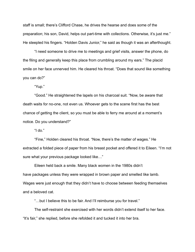staff is small; there's Clifford Chase, he drives the hearse and does some of the preparation; his son, David, helps out part-time with collections. Otherwise, it's just me." He steepled his fingers. "Holden Davis Junior," he said as though it was an afterthought.

"I need someone to drive me to meetings and grief visits, answer the phone, do the filing and generally keep this place from crumbling around my ears." The placid smile on her face unnerved him. He cleared his throat. "Does that sound like something you can do?"

"Yup."

"Good." He straightened the lapels on his charcoal suit. "Now, be aware that death waits for no-one, not even us. Whoever gets to the scene first has the best chance of getting the client, so you must be able to ferry me around at a moment's notice. Do you understand?"

"l do."

"Fine," Holden cleared his throat. "Now, there's the matter of wages." He extracted a folded piece of paper from his breast pocket and offered it to Eileen. "I'm not sure what your previous package looked like…"

Eileen held back a smile. Many black women in the 1980s didn't have packages unless they were wrapped in brown paper and smelled like lamb. Wages were just enough that they didn't have to choose between feeding themselves and a beloved cat.

"…but I believe this to be fair. And I'll reimburse you for travel."

The self-restraint she exercised with her words didn't extend itself to her face. "It's fair," she replied, before she refolded it and tucked it into her bra.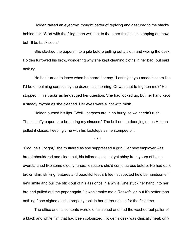Holden raised an eyebrow, thought better of replying and gestured to the stacks behind her. "Start with the filing; then we'll get to the other things. I'm stepping out now, but I'll be back soon."

She stacked the papers into a pile before pulling out a cloth and wiping the desk. Holden furrowed his brow, wondering why she kept cleaning cloths in her bag, but said nothing.

He had turned to leave when he heard her say, "Last night you made it seem like I'd be embalming corpses by the dozen this morning. Or was that to frighten me?" He stopped in his tracks as he gauged her question. She had looked up, but her hand kept a steady rhythm as she cleaned. Her eyes were alight with mirth.

Holden pursed his lips. "Well…corpses are in no hurry, so we needn't rush. These stuffy papers are bothering my sinuses." The bell on the door jingled as Holden pulled it closed, keeping time with his footsteps as he stomped off.

\* \* \*

"God, he's uptight," she muttered as she suppressed a grin. Her new employer was broad-shouldered and clean-cut, his tailored suits not yet shiny from years of being overstarched like some elderly funeral directors she'd come across before. He had dark brown skin, striking features and beautiful teeth; Eileen suspected he'd be handsome if he'd smile and pull the stick out of his ass once in a while. She stuck her hand into her bra and pulled out the paper again. "It won't make me a Rockefeller, but it's better than nothing," she sighed as she properly took in her surroundings for the first time.

The office and its contents were old fashioned and had the washed-out pallor of a black and white film that had been colourized. Holden's desk was clinically neat; only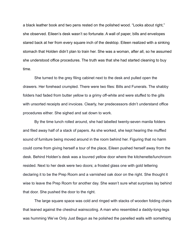a black leather book and two pens rested on the polished wood. "Looks about right," she observed. Eileen's desk wasn't so fortunate. A wall of paper, bills and envelopes stared back at her from every square inch of the desktop. Eileen realized with a sinking stomach that Holden didn't plan to train her. She was a woman, after all, so he assumed she understood office procedures. The truth was that she had started cleaning to buy time.

She turned to the grey filing cabinet next to the desk and pulled open the drawers. Her forehead crumpled. There were two files: Bills and Funerals. The shabby folders had faded from butter yellow to a grimy off-white and were stuffed to the gills with unsorted receipts and invoices. Clearly, her predecessors didn't understand office procedures either. She sighed and sat down to work.

By the time lunch rolled around, she had labelled twenty-seven manila folders and filed away half of a stack of papers. As she worked, she kept hearing the muffled sound of furniture being moved around in the room behind her. Figuring that no harm could come from giving herself a tour of the place, Eileen pushed herself away from the desk. Behind Holden's desk was a louvred yellow door where the kitchenette/lunchroom resided. Next to her desk were two doors; a frosted glass one with gold lettering declaring it to be the Prep Room and a varnished oak door on the right. She thought it wise to leave the Prep Room for another day. She wasn't sure what surprises lay behind that door. She pushed the door to the right.

The large square space was cold and ringed with stacks of wooden folding chairs that leaned against the chestnut wainscoting. A man who resembled a daddy-long-legs was humming We've Only Just Begun as he polished the panelled walls with something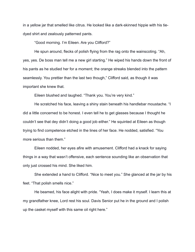in a yellow jar that smelled like citrus. He looked like a dark-skinned hippie with his tiedyed shirt and zealously patterned pants.

"Good morning. I'm Eileen. Are you Clifford?"

He spun around, flecks of polish flying from the rag onto the wainscoting. "Ah, yes, yes. De boss man tell me a new girl starting." He wiped his hands down the front of his pants as he studied her for a moment; the orange streaks blended into the pattern seamlessly. You prettier than the last two though," Clifford said, as though it was important she knew that.

Eileen blushed and laughed. "Thank you. You're very kind."

He scratched his face, leaving a shiny stain beneath his handlebar moustache. "I did a little concerned to be honest. I even tell he to get glasses because I thought he couldn't see that dey didn't doing a good job either." He squinted at Eileen as though trying to find competence etched in the lines of her face. He nodded, satisfied. "You more serious than them."

Eileen nodded, her eyes afire with amusement. Clifford had a knack for saying things in a way that wasn't offensive, each sentence sounding like an observation that only just crossed his mind. She liked him.

She extended a hand to Clifford. "Nice to meet you." She glanced at the jar by his feet. "That polish smells nice."

He beamed, his face alight with pride. "Yeah, I does make it myself. I learn this at my grandfather knee, Lord rest his soul. Davis Senior put he in the ground and I polish up the casket myself with this same oil right here."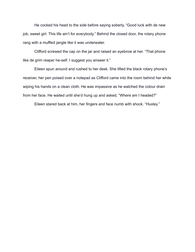He cocked his head to the side before saying soberly, "Good luck with de new job, sweet girl. This life ain't for everybody." Behind the closed door, the rotary phone rang with a muffled jangle like it was underwater.

Clifford screwed the cap on the jar and raised an eyebrow at her. "That phone like de grim reaper he-self. I suggest you answer it."

Eileen spun around and rushed to her desk. She lifted the black rotary phone's receiver, her pen poised over a notepad as Clifford came into the room behind her while wiping his hands on a clean cloth. He was impassive as he watched the colour drain from her face. He waited until she'd hung up and asked, "Where am I headed?"

Eileen stared back at him, her fingers and face numb with shock. "Huxley."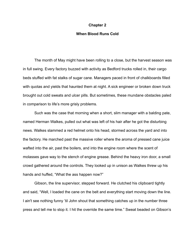#### **Chapter 2**

## **When Blood Runs Cold**

The month of May might have been rolling to a close, but the harvest season was in full swing. Every factory buzzed with activity as Bedford trucks rolled in, their cargo beds stuffed with fat stalks of sugar cane. Managers paced in front of chalkboards filled with quotas and yields that haunted them at night. A sick engineer or broken down truck brought out cold sweats and ulcer pills. But sometimes, these mundane obstacles paled in comparison to life's more grisly problems.

Such was the case that morning when a short, slim manager with a balding pate, named Herman Walkes, pulled out what was left of his hair after he got the disturbing news. Walkes slammed a red helmet onto his head, stormed across the yard and into the factory. He marched past the massive roller where the aroma of pressed cane juice wafted into the air, past the boilers, and into the engine room where the scent of molasses gave way to the stench of engine grease. Behind the heavy iron door, a small crowd gathered around the controls. They looked up in unison as Walkes threw up his hands and huffed, "What the ass happen now?"

Gibson, the line supervisor, stepped forward. He clutched his clipboard tightly and said, "Well, I loaded the cane on the belt and everything start moving down the line. I ain't see nothing funny 'til John shout that something catches up in the number three press and tell me to stop it. I hit the override the same time." Sweat beaded on Gibson's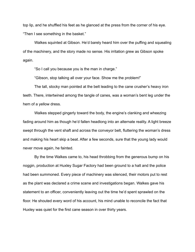top lip, and he shuffled his feet as he glanced at the press from the corner of his eye. "Then I see something in the basket."

Walkes squinted at Gibson. He'd barely heard him over the puffing and squealing of the machinery, and the story made no sense. His irritation grew as Gibson spoke again.

"So I call you because you is the man in charge."

"Gibson, stop talking all over your face. Show me the problem!"

The tall, stocky man pointed at the belt leading to the cane crusher's heavy iron teeth. There, intertwined among the tangle of canes, was a woman's bent leg under the hem of a yellow dress.

Walkes stepped gingerly toward the body, the engine's clanking and wheezing fading around him as though he'd fallen headlong into an alternate reality. A light breeze swept through the vent shaft and across the conveyor belt, fluttering the woman's dress and making his heart skip a beat. After a few seconds, sure that the young lady would never move again, he fainted.

By the time Walkes came to, his head throbbing from the generous bump on his noggin, production at Huxley Sugar Factory had been ground to a halt and the police had been summoned. Every piece of machinery was silenced, their motors put to rest as the plant was declared a crime scene and investigations began. Walkes gave his statement to an officer, conveniently leaving out the time he'd spent sprawled on the floor. He shouted every word of his account, his mind unable to reconcile the fact that Huxley was quiet for the first cane season in over thirty years.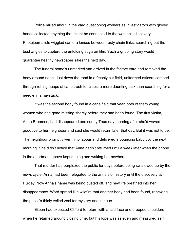Police milled about in the yard questioning workers as investigators with gloved hands collected anything that might be connected to the woman's discovery. Photojournalists wiggled camera lenses between rusty chain links, searching out the best angles to capture the unfolding saga on film. Such a gripping story would guarantee healthy newspaper sales the next day.

The funeral home's unmarked van arrived in the factory yard and removed the body around noon. Just down the road in a freshly cut field, uniformed officers combed through rotting heaps of cane trash for clues, a more daunting task than searching for a needle in a haystack.

It was the second body found in a cane field that year, both of them young women who had gone missing shortly before they had been found. The first victim, Anna Broomes, had disappeared one sunny Thursday morning after she'd waved goodbye to her neighbour and said she would return later that day. But it was not to be. The neighbour promptly went into labour and delivered a bouncing baby boy the next morning. She didn't notice that Anna hadn't returned until a week later when the phone in the apartment above kept ringing and waking her newborn.

That murder had perplexed the public for days before being swallowed up by the news cycle. Anna had been relegated to the annals of history until the discovery at Huxley. Now Anna's name was being dusted off, and new life breathed into her disappearance. Word spread like wildfire that another body had been found, renewing the public's thinly veiled zeal for mystery and intrigue.

Eileen had expected Clifford to return with a sad face and drooped shoulders when he returned around closing time, but his lope was as even and measured as it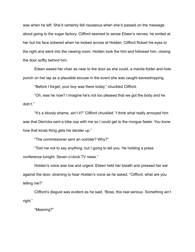was when he left. She'd certainly felt nauseous when she'd passed on the message about going to the sugar factory. Clifford seemed to sense Eileen's nerves; he smiled at her but his face sobered when he looked across at Holden. Clifford flicked his eyes to the right and went into the viewing room. Holden took the hint and followed him, closing the door softly behind him.

Eileen eased her chair as near to the door as she could, a manila folder and hole punch on her lap as a plausible excuse in the event she was caught eavesdropping.

"Before I forget, your boy was there today," chuckled Clifford.

"Oh, was he now? I imagine he's not too pleased that we got the body and he didn't."

"It's a *bloody* shame, ain't it?" Clifford chuckled."I think what really annoyed him was that Derricks sent a bike cop with me so I could get to the morgue faster. You know how that kinda thing gets his dander up."

"The commissioner sent an outrider? Why?"

"Told me not to say anything, but I going to tell you. He holding a press conference tonight. Seven o'clock TV news."

Holden's voice was low and urgent. Eileen held her breath and pressed her ear against the door, straining to hear Holden's voice as he asked, "Clifford, what are you telling me?"

Clifford's disgust was evident as he said, "Boss, this real serious. Something ain't right."

"Meaning?"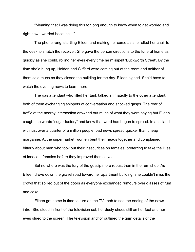"Meaning that I was doing this for long enough to know when to get worried and right now I worried because…"

The phone rang, startling Eileen and making her curse as she rolled her chair to the desk to snatch the receiver. She gave the person directions to the funeral home as quickly as she could, rolling her eyes every time he misspelt 'Buckworth Street'. By the time she'd hung up, Holden and Clifford were coming out of the room and neither of them said much as they closed the building for the day. Eileen sighed. She'd have to watch the evening news to learn more.

The gas attendant who filled her tank talked animatedly to the other attendant, both of them exchanging snippets of conversation and shocked gasps. The roar of traffic at the nearby intersection drowned out much of what they were saying but Eileen caught the words "sugar factory" and knew that word had begun to spread. In an island with just over a quarter of a million people, bad news spread quicker than cheap margarine. At the supermarket, women bent their heads together and complained bitterly about men who took out their insecurities on females, preferring to take the lives of innocent females before they improved themselves.

But no where was the fury of the gossip more robust than in the rum shop. As Eileen drove down the gravel road toward her apartment building, she couldn't miss the crowd that spilled out of the doors as everyone exchanged rumours over glasses of rum and coke.

Eileen got home in time to turn on the TV knob to see the ending of the news intro. She stood in front of the television set, her dusty shoes still on her feet and her eyes glued to the screen. The television anchor outlined the grim details of the